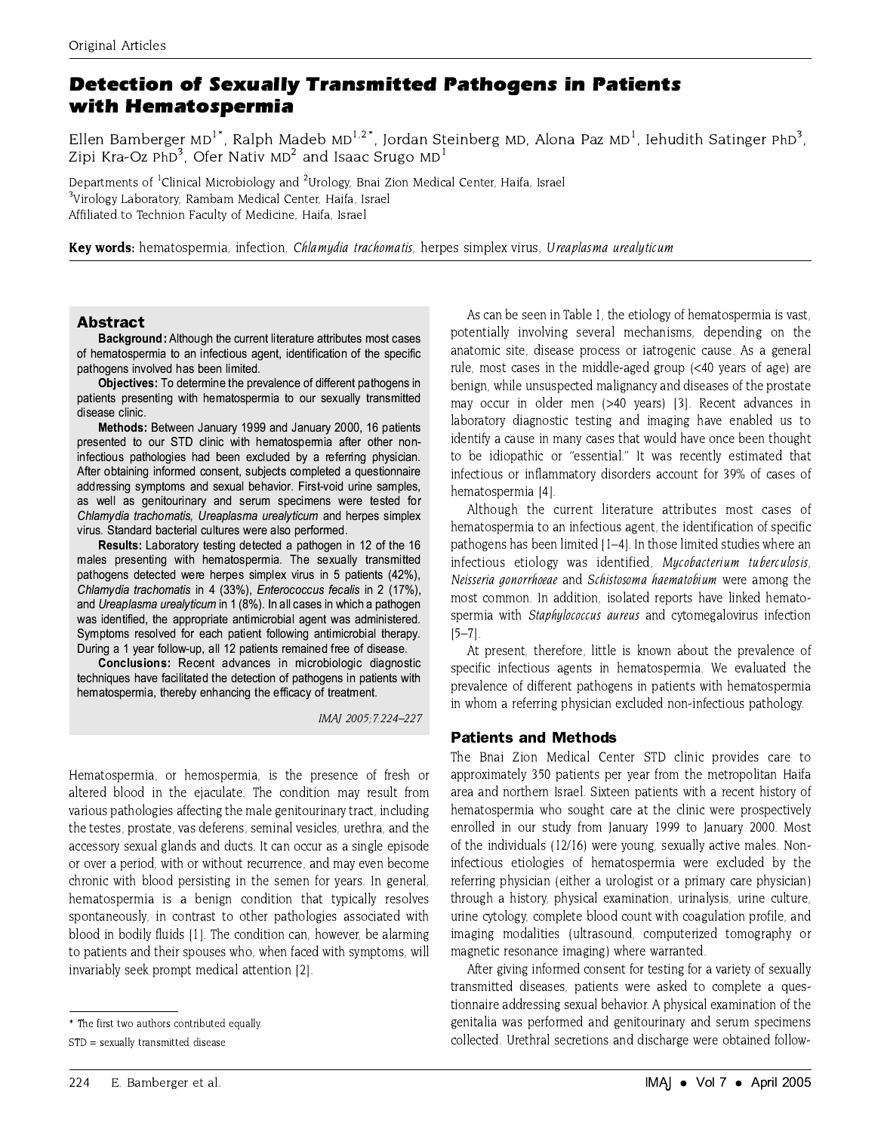# **Detection of Sexually Transmitted Pathogens in Patients** with Hematospermia

Ellen Bamberger MD<sup>1\*</sup>, Ralph Madeb MD<sup>1,2\*</sup>, Jordan Steinberg MD, Alona Paz MD<sup>1</sup>, Iehudith Satinger PhD<sup>3</sup>, Zipi Kra-Oz PhD<sup>3</sup>. Ofer Nativ MD<sup>2</sup> and Isaac Srugo MD<sup>1</sup>

Departments of <sup>1</sup>Clinical Microbiology and <sup>2</sup>Urology, Bnai Zion Medical Center, Haifa, Israel <sup>3</sup>Virology Laboratory, Rambam Medical Center, Haifa, Israel Affiliated to Technion Faculty of Medicine, Haifa, Israel

Key words: hematospermia, infection, Chlamydia trachomatis, herpes simplex virus, Ureaplasma urealyticum

## **Abstract**

Background: Although the current literature attributes most cases of hematospermia to an infectious agent, identification of the specific pathogens involved has been limited.

Objectives: To determine the prevalence of different pathogens in patients presenting with hematospermia to our sexually transmitted disease clinic.

Methods: Between January 1999 and January 2000, 16 patients presented to our STD clinic with hematospermia after other noninfectious pathologies had been excluded by a referring physician. After obtaining informed consent, subjects completed a questionnaire addressing symptoms and sexual behavior. First-void urine samples, as well as genitourinary and serum specimens were tested for Chlamydia trachomatis, Ureaplasma urealyticum and herpes simplex virus. Standard bacterial cultures were also performed.

Results: Laboratory testing detected a pathogen in 12 of the 16 males presenting with hematospermia. The sexually transmitted pathogens detected were herpes simplex virus in 5 patients (42%), Chlamydia trachomatis in 4 (33%), Enterococcus fecalis in 2 (17%), and Ureaplasma urealyticum in 1 (8%). In all cases in which a pathogen was identified, the appropriate antimicrobial agent was administered. Symptoms resolved for each patient following antimicrobial therapy. During a 1 year follow-up, all 12 patients remained free of disease.

Conclusions: Recent advances in microbiologic diagnostic techniques have facilitated the detection of pathogens in patients with hematospermia, thereby enhancing the efficacy of treatment.

IMAI 2005:7:224-227

Hematospermia, or hemospermia, is the presence of fresh or altered blood in the ejaculate. The condition may result from various pathologies affecting the male genitourinary tract, including the testes, prostate, vas deferens, seminal vesicles, urethra, and the accessory sexual glands and ducts. It can occur as a single episode or over a period, with or without recurrence, and may even become chronic with blood persisting in the semen for years. In general, hematospermia is a benign condition that typically resolves spontaneously, in contrast to other pathologies associated with blood in bodily fluids [1]. The condition can, however, be alarming to patients and their spouses who, when faced with symptoms, will invariably seek prompt medical attention [2].

As can be seen in Table 1, the etiology of hematospermia is vast, potentially involving several mechanisms, depending on the anatomic site, disease process or iatrogenic cause. As a general rule, most cases in the middle-aged group (<40 years of age) are benign, while unsuspected malignancy and diseases of the prostate may occur in older men (>40 years) [3]. Recent advances in laboratory diagnostic testing and imaging have enabled us to identify a cause in many cases that would have once been thought to be idiopathic or "essential." It was recently estimated that infectious or inflammatory disorders account for 39% of cases of hematospermia [4].

Although the current literature attributes most cases of hematospermia to an infectious agent, the identification of specific pathogens has been limited [1-4]. In those limited studies where an infectious etiology was identified, Mycobacterium tuberculosis, Neisseria gonorrhoeae and Schistosoma haematobium were among the most common. In addition, isolated reports have linked hematospermia with Staphylococcus aureus and cytomegalovirus infection  $[5 - 7]$ .

At present, therefore, little is known about the prevalence of specific infectious agents in hematospermia. We evaluated the prevalence of different pathogens in patients with hematospermia in whom a referring physician excluded non-infectious pathology.

### **Patients and Methods**

The Bnai Zion Medical Center STD clinic provides care to approximately 350 patients per year from the metropolitan Haifa area and northern Israel. Sixteen patients with a recent history of hematospermia who sought care at the clinic were prospectively enrolled in our study from January 1999 to January 2000. Most of the individuals (12/16) were young, sexually active males. Noninfectious etiologies of hematospermia were excluded by the referring physician (either a urologist or a primary care physician) through a history, physical examination, urinalysis, urine culture. urine cytology, complete blood count with coagulation profile, and imaging modalities (ultrasound, computerized tomography or magnetic resonance imaging) where warranted.

After giving informed consent for testing for a variety of sexually transmitted diseases, patients were asked to complete a questionnaire addressing sexual behavior. A physical examination of the genitalia was performed and genitourinary and serum specimens collected. Urethral secretions and discharge were obtained follow-

<sup>\*</sup> The first two authors contributed equally

STD = sexually transmitted disease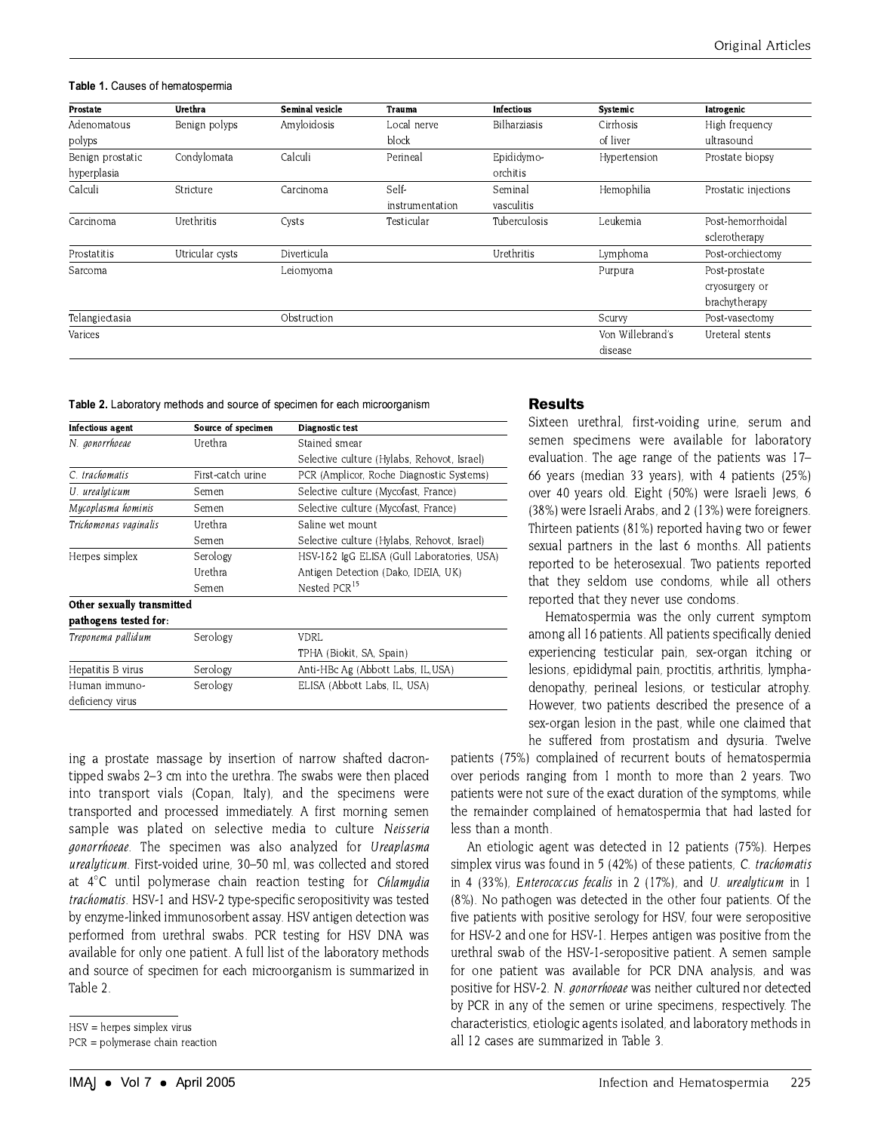#### Table 1. Causes of hematospermia

| Prostate         | Urethra         | Seminal vesicle | <b>Trauma</b>   | <b>Infectious</b>   | Systemic         | latrogenic           |
|------------------|-----------------|-----------------|-----------------|---------------------|------------------|----------------------|
| Adenomatous      | Benign polyps   | Amyloidosis     | Local nerve     | <b>Bilharziasis</b> | Cirrhosis        | High frequency       |
| polyps           |                 |                 | block           |                     | of liver         | ultrasound           |
| Benign prostatic | Condylomata     | Calculi         | Perineal        | Epididymo-          | Hypertension     | Prostate biopsy      |
| hyperplasia      |                 |                 |                 | orchitis            |                  |                      |
| Calculi          | Stricture       | Carcinoma       | Self-           | Seminal             | Hemophilia       | Prostatic injections |
|                  |                 |                 | instrumentation | vasculitis          |                  |                      |
| Carcinoma        | Urethritis      | Cysts           | Testicular      | Tuberculosis        | Leukemia         | Post-hemorrhoidal    |
|                  |                 |                 |                 |                     |                  | sclerotherapy        |
| Prostatitis      | Utricular cysts | Diverticula     |                 | Urethritis          | Lymphoma         | Post-orchiectomy     |
| Sarcoma          |                 | Leiomvoma       |                 |                     | Purpura          | Post-prostate        |
|                  |                 |                 |                 |                     |                  | cryosurgery or       |
|                  |                 |                 |                 |                     |                  | brachytherapy        |
| Telangiectasia   |                 | Obstruction     |                 |                     | Scurvy           | Post-vasectomy       |
| Varices          |                 |                 |                 |                     | Von Willebrand's | Ureteral stents      |
|                  |                 |                 |                 |                     | disease          |                      |

Table 2. Laboratory methods and source of specimen for each microorganism

| Infectious agent           | Source of specimen | Diagnostic test                             |  |
|----------------------------|--------------------|---------------------------------------------|--|
| N. gonorrhoeae             | Urethra            | Stained smear                               |  |
|                            |                    | Selective culture (Hylabs, Rehovot, Israel) |  |
| C. trachomatis             | First-catch urine  | PCR (Amplicor, Roche Diagnostic Systems)    |  |
| U. urealyticum             | Semen              | Selective culture (Mycofast, France)        |  |
| Mycoplasma hominis         | Semen              | Selective culture (Mycofast, France)        |  |
| Trichomonas vaginalis      | Urethra            | Saline wet mount                            |  |
|                            | Semen              | Selective culture (Hylabs, Rehovot, Israel) |  |
| Herpes simplex             | Serology           | HSV-1&2 IgG ELISA (Gull Laboratories, USA)  |  |
|                            | Urethra            | Antigen Detection (Dako, IDEIA, UK)         |  |
|                            | Semen              | Nested PCR <sup>15</sup>                    |  |
| Other sexually transmitted |                    |                                             |  |
| pathogens tested for:      |                    |                                             |  |
| Treponema pallidum         | Serology           | VDRL                                        |  |
|                            |                    | TPHA (Biokit, SA, Spain)                    |  |
| Hepatitis B virus          | Serology           | Anti-HBc Ag (Abbott Labs, IL,USA)           |  |
| Human immuno-              | Serology           | ELISA (Abbott Labs, IL, USA)                |  |
| deficiency virus           |                    |                                             |  |

ing a prostate massage by insertion of narrow shafted dacrontipped swabs 2-3 cm into the urethra. The swabs were then placed into transport vials (Copan, Italy), and the specimens were transported and processed immediately. A first morning semen sample was plated on selective media to culture Neisseria gonorrhoeae. The specimen was also analyzed for Ureaplasma urealyticum. First-voided urine, 30–50 ml, was collected and stored at 4°C until polymerase chain reaction testing for Chlamydia trachomatis. HSV-1 and HSV-2 type-specific seropositivity was tested by enzyme-linked immunosorbent assay. HSV antigen detection was performed from urethral swabs. PCR testing for HSV DNA was available for only one patient. A full list of the laboratory methods and source of specimen for each microorganism is summarized in Table 2.

## **Results**

Sixteen urethral, first-voiding urine, serum and semen specimens were available for laboratory evaluation. The age range of the patients was 17-66 years (median 33 years), with 4 patients (25%) over 40 years old. Eight (50%) were Israeli Jews, 6 (38%) were Israeli Arabs, and 2 (13%) were foreigners. Thirteen patients (81%) reported having two or fewer sexual partners in the last 6 months. All patients reported to be heterosexual. Two patients reported that they seldom use condoms, while all others reported that they never use condoms.

Hematospermia was the only current symptom among all 16 patients. All patients specifically denied experiencing testicular pain, sex-organ itching or lesions, epididymal pain, proctitis, arthritis, lymphadenopathy, perineal lesions, or testicular atrophy. However, two patients described the presence of a sex-organ lesion in the past, while one claimed that he suffered from prostatism and dysuria. Twelve

patients (75%) complained of recurrent bouts of hematospermia over periods ranging from 1 month to more than 2 years. Two patients were not sure of the exact duration of the symptoms, while the remainder complained of hematospermia that had lasted for less than a month.

An etiologic agent was detected in 12 patients (75%). Herpes simplex virus was found in 5 (42%) of these patients, C. trachomatis in 4 (33%), Enterococcus fecalis in 2 (17%), and U. urealyticum in 1 (8%). No pathogen was detected in the other four patients. Of the five patients with positive serology for HSV, four were seropositive for HSV-2 and one for HSV-1. Herpes antigen was positive from the urethral swab of the HSV-1-seropositive patient. A semen sample for one patient was available for PCR DNA analysis, and was positive for HSV-2. N. *gonorrhoeae* was neither cultured nor detected by PCR in any of the semen or urine specimens, respectively. The characteristics, etiologic agents isolated, and laboratory methods in all 12 cases are summarized in Table 3.

 $HSV =$  herpes simplex virus

 $PCR = polymerase chain reaction$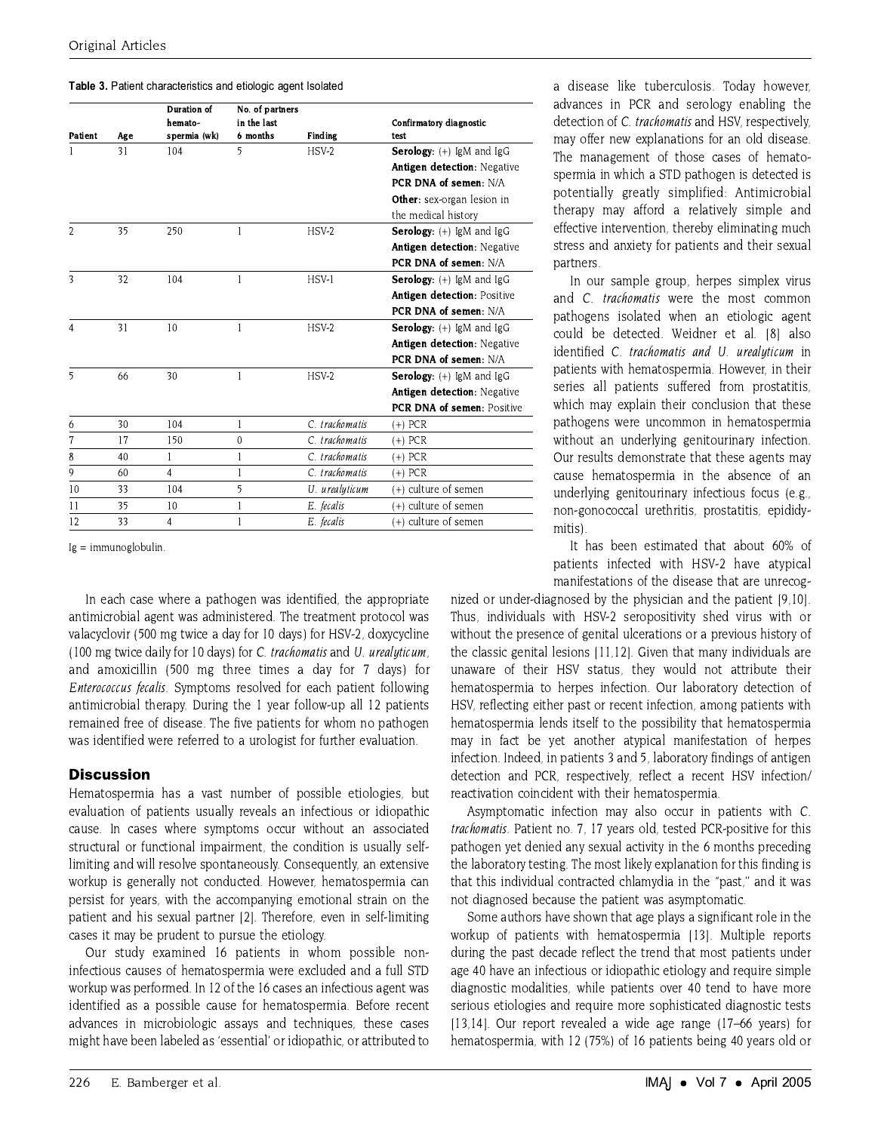| <b>Table 3.</b> Patient characteristics and etiologic agent Isolated |  |
|----------------------------------------------------------------------|--|
|----------------------------------------------------------------------|--|

|                |     | Duration of<br>hemato- | No. of partners<br>in the last |                | Confirmatory diagnostic            |
|----------------|-----|------------------------|--------------------------------|----------------|------------------------------------|
| Patient        | Age | spermia (wk)           | 6 months                       | <b>Finding</b> | test                               |
|                | 31  | 104                    | 5                              | $HSV-2$        | Serology: (+) IgM and IgG          |
|                |     |                        |                                |                | Antigen detection: Negative        |
|                |     |                        |                                |                | PCR DNA of semen: N/A              |
|                |     |                        |                                |                | Other: sex-organ lesion in         |
|                |     |                        |                                |                | the medical history                |
| 2              | 35  | 250                    |                                | $HSV-2$        | Serology: (+) IgM and IgG          |
|                |     |                        |                                |                | Antigen detection: Negative        |
|                |     |                        |                                |                | PCR DNA of semen: N/A              |
| 3<br>32        |     | 104                    | 1                              | HSV-1          | Serology: (+) IgM and IgG          |
|                |     |                        |                                |                | Antigen detection: Positive        |
|                |     |                        |                                |                | PCR DNA of semen: N/A              |
| $\overline{4}$ | 31  | 10                     | I                              | $HSV-2$        | Serology: (+) IgM and IgG          |
|                |     |                        |                                |                | <b>Antigen detection: Negative</b> |
|                |     |                        |                                |                | PCR DNA of semen: N/A              |
| 5              | 66  | 30                     | 1                              | $HSV-2$        | <b>Serology:</b> $(+)$ lgM and lgG |
|                |     |                        |                                |                | <b>Antigen detection: Negative</b> |
|                |     |                        |                                |                | PCR DNA of semen: Positive         |
| 6              | 30  | 104                    |                                | C. trachomatis | $(+)$ PCR                          |
| 7              | 17  | 150                    | $\mathbf{0}$                   | C. trachomatis | $(+)$ PCR                          |
| 8              | 40  | 1                      |                                | C. trachomatis | $(+)$ PCR                          |
| 9              | 60  | 4                      |                                | C. trachomatis | $(+)$ PCR                          |
| 10             | 33  | 104                    | 5                              | U. urealyticum | (+) culture of semen               |
| 11             | 35  | 10                     |                                | E. fecalis     | (+) culture of semen               |
| 12             | 33  | 4                      |                                | E. fecalis     | (+) culture of semen               |

 $Ig = immunoglobulin$ .

In each case where a pathogen was identified, the appropriate antimicrobial agent was administered. The treatment protocol was valacyclovir (500 mg twice a day for 10 days) for HSV-2, doxycycline (100 mg twice daily for 10 days) for C. trachomatis and U. urealuticum. and amoxicillin (500 mg three times a day for 7 days) for Enterococcus fecalis. Symptoms resolved for each patient following antimicrobial therapy. During the 1 year follow-up all 12 patients remained free of disease. The five patients for whom no pathogen was identified were referred to a urologist for further evaluation.

## **Discussion**

Hematospermia has a vast number of possible etiologies, but evaluation of patients usually reveals an infectious or idiopathic cause. In cases where symptoms occur without an associated structural or functional impairment, the condition is usually selflimiting and will resolve spontaneously. Consequently, an extensive workup is generally not conducted. However, hematospermia can persist for years, with the accompanying emotional strain on the patient and his sexual partner [2]. Therefore, even in self-limiting cases it may be prudent to pursue the etiology.

Our study examined 16 patients in whom possible noninfectious causes of hematospermia were excluded and a full STD workup was performed. In 12 of the 16 cases an infectious agent was identified as a possible cause for hematospermia. Before recent advances in microbiologic assays and techniques, these cases might have been labeled as 'essential' or idiopathic, or attributed to

a disease like tuberculosis. Today however, advances in PCR and serology enabling the detection of C. trachomatis and HSV, respectively. may offer new explanations for an old disease. The management of those cases of hematospermia in which a STD pathogen is detected is potentially greatly simplified: Antimicrobial therapy may afford a relatively simple and effective intervention, thereby eliminating much stress and anxiety for patients and their sexual partners.

In our sample group, herpes simplex virus and C. trachomatis were the most common pathogens isolated when an etiologic agent could be detected. Weidner et al. [8] also identified C. trachomatis and U. urealyticum in patients with hematospermia. However, in their series all patients suffered from prostatitis. which may explain their conclusion that these pathogens were uncommon in hematospermia without an underlying genitourinary infection. Our results demonstrate that these agents may cause hematospermia in the absence of an underlying genitourinary infectious focus (e.g., non-gonococcal urethritis, prostatitis, epididymitis).

It has been estimated that about 60% of patients infected with HSV-2 have atvoical manifestations of the disease that are unrecog-

nized or under-diagnosed by the physician and the patient [9,10]. Thus, individuals with HSV-2 seropositivity shed virus with or without the presence of genital ulcerations or a previous history of the classic genital lesions [11,12]. Given that many individuals are unaware of their HSV status, they would not attribute their hematospermia to herpes infection. Our laboratory detection of HSV, reflecting either past or recent infection, among patients with hematospermia lends itself to the possibility that hematospermia may in fact be yet another atypical manifestation of herpes infection. Indeed, in patients 3 and 5, laboratory findings of antigen detection and PCR, respectively, reflect a recent HSV infection/ reactivation coincident with their hematospermia.

Asymptomatic infection may also occur in patients with C. trachomatis. Patient no. 7, 17 years old, tested PCR-positive for this pathogen yet denied any sexual activity in the 6 months preceding the laboratory testing. The most likely explanation for this finding is that this individual contracted chlamydia in the "past," and it was not diagnosed because the patient was asymptomatic.

Some authors have shown that age plays a significant role in the workup of patients with hematospermia [13]. Multiple reports during the past decade reflect the trend that most patients under age 40 have an infectious or idiopathic etiology and require simple diagnostic modalities, while patients over 40 tend to have more serious etiologies and require more sophisticated diagnostic tests  $[13,14]$ . Our report revealed a wide age range  $(17-66 \text{ years})$  for hematospermia, with 12 (75%) of 16 patients being 40 years old or